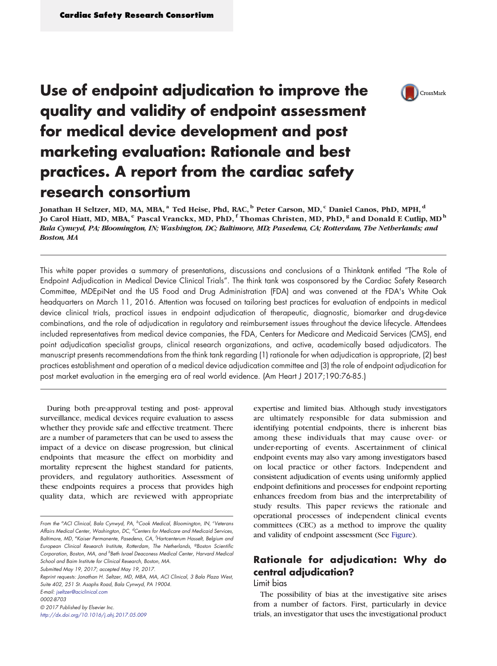# Use of endpoint adjudication to improve the quality and validity of endpoint assessment for medical device development and post marketing evaluation: Rationale and best practices. A report from the cardiac safety research consortium



Jonathan H Seltzer, MD, MA, MBA, <sup>a</sup> Ted Heise, Phd, RAC, <sup>b</sup> Peter Carson, MD, <sup>c</sup> Daniel Canos, PhD, MPH, <sup>d</sup> Jo Carol Hiatt, MD, MBA, <sup>e</sup> Pascal Vranckx, MD, PhD, <sup>f</sup> Thomas Christen, MD, PhD, <sup>g</sup> and Donald E Cutlip, MD <sup>h</sup> Bala Cynwyd, PA; Bloomington, IN; Washington, DC; Baltimore, MD; Pasedena, CA; Rotterdam, The Netherlands; and Boston, MA

This white paper provides a summary of presentations, discussions and conclusions of a Thinktank entitled "The Role of Endpoint Adjudication in Medical Device Clinical Trials". The think tank was cosponsored by the Cardiac Safety Research Committee, MDEpiNet and the US Food and Drug Administration (FDA) and was convened at the FDA's White Oak headquarters on March 11, 2016. Attention was focused on tailoring best practices for evaluation of endpoints in medical device clinical trials, practical issues in endpoint adjudication of therapeutic, diagnostic, biomarker and drug-device combinations, and the role of adjudication in regulatory and reimbursement issues throughout the device lifecycle. Attendees included representatives from medical device companies, the FDA, Centers for Medicare and Medicaid Services (CMS), end point adjudication specialist groups, clinical research organizations, and active, academically based adjudicators. The manuscript presents recommendations from the think tank regarding (1) rationale for when adjudication is appropriate, (2) best practices establishment and operation of a medical device adjudication committee and (3) the role of endpoint adjudication for post market evaluation in the emerging era of real world evidence. (Am Heart J 2017;190:76-85.)

During both pre-approval testing and post- approval surveillance, medical devices require evaluation to assess whether they provide safe and effective treatment. There are a number of parameters that can be used to assess the impact of a device on disease progression, but clinical endpoints that measure the effect on morbidity and mortality represent the highest standard for patients, providers, and regulatory authorities. Assessment of these endpoints requires a process that provides high quality data, which are reviewed with appropriate

Submitted May 19, 2017; accepted May 19, 2017.

Reprint requests: Jonathan H. Seltzer, MD, MBA, MA, ACI Clinical, 3 Bala Plaza West, Suite 402, 251 St. Asaphs Road, Bala Cynwyd, PA 19004.

E-mail: [jseltzer@aciclinical.com](mailto:jseltzer@aciclinical.com) 0002-8703 © 2017 Published by Elsevier Inc.

<http://dx.doi.org/10.1016/j.ahj.2017.05.009>

expertise and limited bias. Although study investigators are ultimately responsible for data submission and identifying potential endpoints, there is inherent bias among these individuals that may cause over- or under-reporting of events. Ascertainment of clinical endpoint events may also vary among investigators based on local practice or other factors. Independent and consistent adjudication of events using uniformly applied endpoint definitions and processes for endpoint reporting enhances freedom from bias and the interpretability of study results. This paper reviews the rationale and operational processes of independent clinical events committees (CEC) as a method to improve the quality and validity of endpoint assessment (See [Figure](#page-1-0)).

# Rationale for adjudication: Why do central adjudication?

#### Limit bias

The possibility of bias at the investigative site arises from a number of factors. First, particularly in device trials, an investigator that uses the investigational product

From the <sup>a</sup>ACI Clinical, Bala Cynwyd, PA, <sup>b</sup>Cook Medical, Bloomington, IN, <sup>c</sup>Veterans Affairs Medical Center, Washington, DC, <sup>d</sup>Centers for Medicare and Medicaid Services, Baltimore, MD, <sup>e</sup>Kaiser Permanente, Pasedena, CA, <sup>f</sup>Hartcenterum Hasselt, Belgium and European Clinical Research Institute, Rotterdam, The Netherlands, <sup>9</sup>Boston Scientific Corporation, Boston, MA, and <sup>h</sup>Beth Israel Deaconess Medical Center, Harvard Medica. School and Baim Institute for Clinical Research, Boston, MA.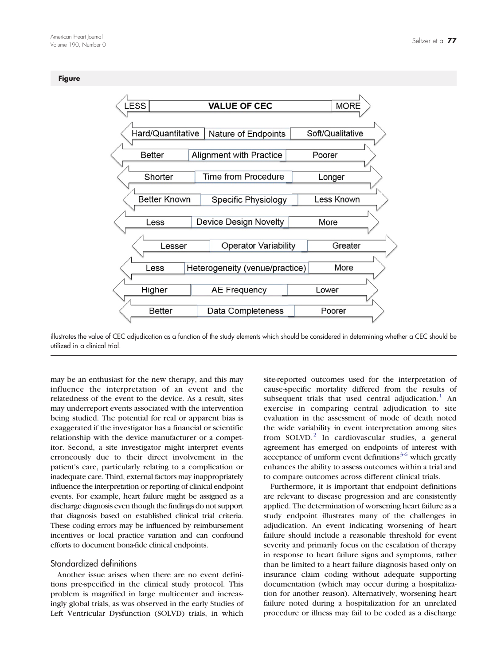#### <span id="page-1-0"></span>**Figure**



illustrates the value of CEC adjudication as a function of the study elements which should be considered in determining whether a CEC should be utilized in a clinical trial.

may be an enthusiast for the new therapy, and this may influence the interpretation of an event and the relatedness of the event to the device. As a result, sites may underreport events associated with the intervention being studied. The potential for real or apparent bias is exaggerated if the investigator has a financial or scientific relationship with the device manufacturer or a competitor. Second, a site investigator might interpret events erroneously due to their direct involvement in the patient's care, particularly relating to a complication or inadequate care. Third, external factors may inappropriately influence the interpretation or reporting of clinical endpoint events. For example, heart failure might be assigned as a discharge diagnosis even though the findings do not support that diagnosis based on established clinical trial criteria. These coding errors may be influenced by reimbursement incentives or local practice variation and can confound efforts to document bona-fide clinical endpoints.

# Standardized definitions

Another issue arises when there are no event definitions pre-specified in the clinical study protocol. This problem is magnified in large multicenter and increasingly global trials, as was observed in the early Studies of Left Ventricular Dysfunction (SOLVD) trials, in which site-reported outcomes used for the interpretation of cause-specific mortality differed from the results of subsequent trials that used central adjudication[.](#page-8-0) $1$  An exercise in comparing central adjudication to site evaluation in the assessment of mode of death noted the wide variability in event interpretation among sites from  $SOLVD.<sup>2</sup>$  $SOLVD.<sup>2</sup>$  $SOLVD.<sup>2</sup>$  $SOLVD.<sup>2</sup>$  $SOLVD.<sup>2</sup>$  In cardiovascular studies, a general agreement has emerged on endpoints of interest with acceptance of uniform event definition[s](#page-8-0) $3-6$  which greatly enhances the ability to assess outcomes within a trial and to compare outcomes across different clinical trials.

Furthermore, it is important that endpoint definitions are relevant to disease progression and are consistently applied. The determination of worsening heart failure as a study endpoint illustrates many of the challenges in adjudication. An event indicating worsening of heart failure should include a reasonable threshold for event severity and primarily focus on the escalation of therapy in response to heart failure signs and symptoms, rather than be limited to a heart failure diagnosis based only on insurance claim coding without adequate supporting documentation (which may occur during a hospitalization for another reason). Alternatively, worsening heart failure noted during a hospitalization for an unrelated procedure or illness may fail to be coded as a discharge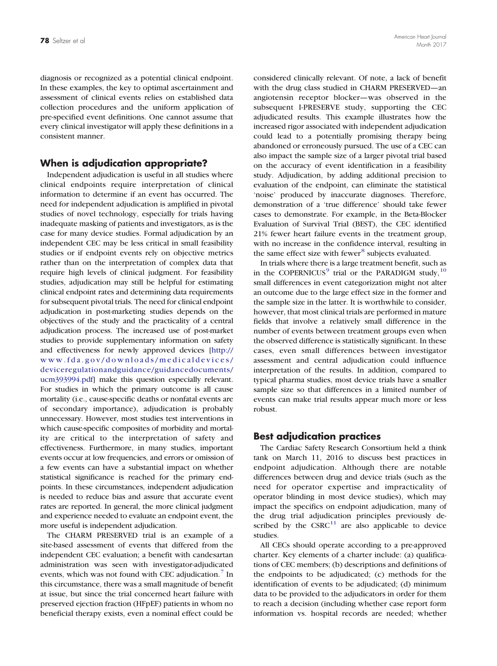diagnosis or recognized as a potential clinical endpoint. In these examples, the key to optimal ascertainment and assessment of clinical events relies on established data collection procedures and the uniform application of pre-specified event definitions. One cannot assume that every clinical investigator will apply these definitions in a consistent manner.

# When is adjudication appropriate?

Independent adjudication is useful in all studies where clinical endpoints require interpretation of clinical information to determine if an event has occurred. The need for independent adjudication is amplified in pivotal studies of novel technology, especially for trials having inadequate masking of patients and investigators, as is the case for many device studies. Formal adjudication by an independent CEC may be less critical in small feasibility studies or if endpoint events rely on objective metrics rather than on the interpretation of complex data that require high levels of clinical judgment. For feasibility studies, adjudication may still be helpful for estimating clinical endpoint rates and determining data requirements for subsequent pivotal trials. The need for clinical endpoint adjudication in post-marketing studies depends on the objectives of the study and the practicality of a central adjudication process. The increased use of post-market studies to provide supplementary information on safety and effectiveness for newly approved devices [\[http://](http://www.fda.gov/downloads/medicaldevices/deviceregulationandguidance/guidancedocuments/ucm393994.pdf) [www.fda.gov/downlo](http://www.fda.gov/downloads/medicaldevices/deviceregulationandguidance/guidancedocuments/ucm393994.pdf) ads/medicaldevices/ [deviceregulationandguidance/guidancedocuments/](http://www.fda.gov/downloads/medicaldevices/deviceregulationandguidance/guidancedocuments/ucm393994.pdf) [ucm393994.pdf](http://www.fda.gov/downloads/medicaldevices/deviceregulationandguidance/guidancedocuments/ucm393994.pdf)] make this question especially relevant. For studies in which the primary outcome is all cause mortality (i.e., cause-specific deaths or nonfatal events are of secondary importance), adjudication is probably unnecessary. However, most studies test interventions in which cause-specific composites of morbidity and mortality are critical to the interpretation of safety and effectiveness. Furthermore, in many studies, important events occur at low frequencies, and errors or omission of a few events can have a substantial impact on whether statistical significance is reached for the primary endpoints. In these circumstances, independent adjudication is needed to reduce bias and assure that accurate event rates are reported. In general, the more clinical judgment and experience needed to evaluate an endpoint event, the more useful is independent adjudication.

The CHARM PRESERVED trial is an example of a site-based assessment of events that differed from the independent CEC evaluation; a benefit with candesartan administration was seen with investigator-adjudicated events, which was not found with CEC adjudication[.](#page-8-0) $\frac{7}{1}$  $\frac{7}{1}$  $\frac{7}{1}$  In this circumstance, there was a small magnitude of benefit at issue, but since the trial concerned heart failure with preserved ejection fraction (HFpEF) patients in whom no beneficial therapy exists, even a nominal effect could be

considered clinically relevant. Of note, a lack of benefit with the drug class studied in CHARM PRESERVED—an angiotensin receptor blocker—was observed in the subsequent I-PRESERVE study, supporting the CEC adjudicated results. This example illustrates how the increased rigor associated with independent adjudication could lead to a potentially promising therapy being abandoned or erroneously pursued. The use of a CEC can also impact the sample size of a larger pivotal trial based on the accuracy of event identification in a feasibility study. Adjudication, by adding additional precision to evaluation of the endpoint, can eliminate the statistical 'noise' produced by inaccurate diagnoses. Therefore, demonstration of a 'true difference' should take fewer cases to demonstrate. For example, in the Beta-Blocker Evaluation of Survival Trial (BEST), the CEC identified 21% fewer heart failure events in the treatment group, with no increase in the confidence interval, resulting in the same effect size with fewe[r](#page-8-0)<sup>[8](#page-8-0)</sup> subjects evaluated.

In trials where there is a large treatment benefit, such as in the COPERNICU[S](#page-8-0)<sup>[9](#page-8-0)</sup> trial or the PARADIGM study[,](#page-8-0)  $10$ small differences in event categorization might not alter an outcome due to the large effect size in the former and the sample size in the latter. It is worthwhile to consider, however, that most clinical trials are performed in mature fields that involve a relatively small difference in the number of events between treatment groups even when the observed difference is statistically significant. In these cases, even small differences between investigator assessment and central adjudication could influence interpretation of the results. In addition, compared to typical pharma studies, most device trials have a smaller sample size so that differences in a limited number of events can make trial results appear much more or less robust.

# Best adjudication practices

The Cardiac Safety Research Consortium held a think tank on March 11, 2016 to discuss best practices in endpoint adjudication. Although there are notable differences between drug and device trials (such as the need for operator expertise and impracticality of operator blinding in most device studies), which may impact the specifics on endpoint adjudication, many of the drug trial adjudication principles previously described by the  $CSC<sup>11</sup>$  $CSC<sup>11</sup>$  $CSC<sup>11</sup>$  $CSC<sup>11</sup>$  are also applicable to device studies.

All CECs should operate according to a pre-approved charter. Key elements of a charter include: (a) qualifications of CEC members; (b) descriptions and definitions of the endpoints to be adjudicated; (c) methods for the identification of events to be adjudicated; (d) minimum data to be provided to the adjudicators in order for them to reach a decision (including whether case report form information vs. hospital records are needed; whether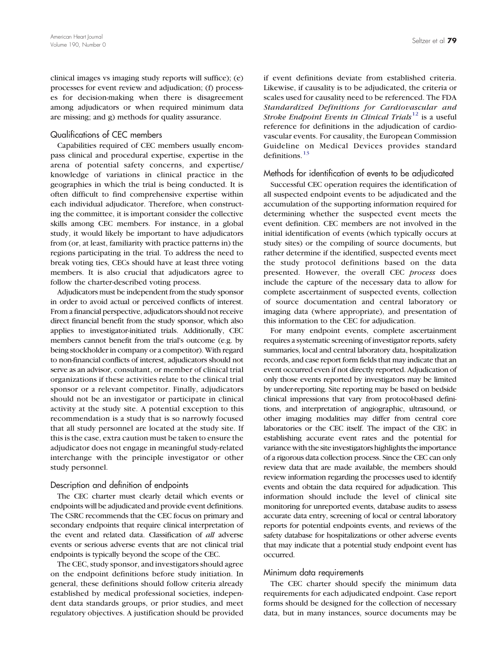clinical images vs imaging study reports will suffice); (e) processes for event review and adjudication; (f) processes for decision-making when there is disagreement among adjudicators or when required minimum data are missing; and g) methods for quality assurance.

### Qualifications of CEC members

Capabilities required of CEC members usually encompass clinical and procedural expertise, expertise in the arena of potential safety concerns, and expertise/ knowledge of variations in clinical practice in the geographies in which the trial is being conducted. It is often difficult to find comprehensive expertise within each individual adjudicator. Therefore, when constructing the committee, it is important consider the collective skills among CEC members. For instance, in a global study, it would likely be important to have adjudicators from (or, at least, familiarity with practice patterns in) the regions participating in the trial. To address the need to break voting ties, CECs should have at least three voting members. It is also crucial that adjudicators agree to follow the charter-described voting process.

Adjudicators must be independent from the study sponsor in order to avoid actual or perceived conflicts of interest. From a financial perspective, adjudicators should not receive direct financial benefit from the study sponsor, which also applies to investigator-initiated trials. Additionally, CEC members cannot benefit from the trial's outcome (e.g. by being stockholder in company or a competitor). With regard to non-financial conflicts of interest, adjudicators should not serve as an advisor, consultant, or member of clinical trial organizations if these activities relate to the clinical trial sponsor or a relevant competitor. Finally, adjudicators should not be an investigator or participate in clinical activity at the study site. A potential exception to this recommendation is a study that is so narrowly focused that all study personnel are located at the study site. If this is the case, extra caution must be taken to ensure the adjudicator does not engage in meaningful study-related interchange with the principle investigator or other study personnel.

### Description and definition of endpoints

The CEC charter must clearly detail which events or endpoints will be adjudicated and provide event definitions. The CSRC recommends that the CEC focus on primary and secondary endpoints that require clinical interpretation of the event and related data. Classification of all adverse events or serious adverse events that are not clinical trial endpoints is typically beyond the scope of the CEC.

The CEC, study sponsor, and investigators should agree on the endpoint definitions before study initiation. In general, these definitions should follow criteria already established by medical professional societies, independent data standards groups, or prior studies, and meet regulatory objectives. A justification should be provided if event definitions deviate from established criteria. Likewise, if causality is to be adjudicated, the criteria or scales used for causality need to be referenced. The FDA Standardized Definitions for Cardiovascular and Stroke Endpoint Event[s](#page-8-0) in Clinical Trials<sup>[12](#page-8-0)</sup> is a useful reference for definitions in the adjudication of cardiovascular events. For causality, the European Commission Guideline on Medical Devices provides standard definitions[.](#page-8-0) $13$ 

# Methods for identification of events to be adjudicated

Successful CEC operation requires the identification of all suspected endpoint events to be adjudicated and the accumulation of the supporting information required for determining whether the suspected event meets the event definition. CEC members are not involved in the initial identification of events (which typically occurs at study sites) or the compiling of source documents, but rather determine if the identified, suspected events meet the study protocol definitions based on the data presented. However, the overall CEC process does include the capture of the necessary data to allow for complete ascertainment of suspected events, collection of source documentation and central laboratory or imaging data (where appropriate), and presentation of this information to the CEC for adjudication.

For many endpoint events, complete ascertainment requires a systematic screening of investigator reports, safety summaries, local and central laboratory data, hospitalization records, and case report form fields that may indicate that an event occurred even if not directly reported. Adjudication of only those events reported by investigators may be limited by under-reporting. Site reporting may be based on bedside clinical impressions that vary from protocol-based definitions, and interpretation of angiographic, ultrasound, or other imaging modalities may differ from central core laboratories or the CEC itself. The impact of the CEC in establishing accurate event rates and the potential for variance with the site investigators highlights the importance of a rigorous data collection process. Since the CEC can only review data that are made available, the members should review information regarding the processes used to identify events and obtain the data required for adjudication. This information should include the level of clinical site monitoring for unreported events, database audits to assess accurate data entry, screening of local or central laboratory reports for potential endpoints events, and reviews of the safety database for hospitalizations or other adverse events that may indicate that a potential study endpoint event has occurred.

### Minimum data requirements

The CEC charter should specify the minimum data requirements for each adjudicated endpoint. Case report forms should be designed for the collection of necessary data, but in many instances, source documents may be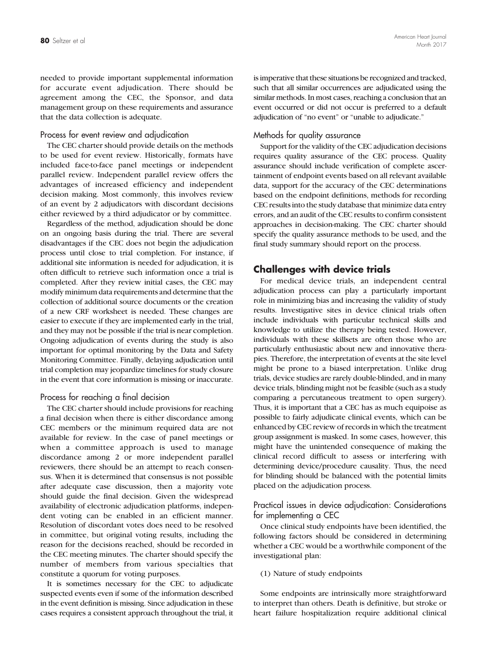needed to provide important supplemental information for accurate event adjudication. There should be agreement among the CEC, the Sponsor, and data management group on these requirements and assurance that the data collection is adequate.

#### Process for event review and adjudication

The CEC charter should provide details on the methods to be used for event review. Historically, formats have included face-to-face panel meetings or independent parallel review. Independent parallel review offers the advantages of increased efficiency and independent decision making. Most commonly, this involves review of an event by 2 adjudicators with discordant decisions either reviewed by a third adjudicator or by committee.

Regardless of the method, adjudication should be done on an ongoing basis during the trial. There are several disadvantages if the CEC does not begin the adjudication process until close to trial completion. For instance, if additional site information is needed for adjudication, it is often difficult to retrieve such information once a trial is completed. After they review initial cases, the CEC may modify minimum data requirements and determine that the collection of additional source documents or the creation of a new CRF worksheet is needed. These changes are easier to execute if they are implemented early in the trial, and they may not be possible if the trial is near completion. Ongoing adjudication of events during the study is also important for optimal monitoring by the Data and Safety Monitoring Committee. Finally, delaying adjudication until trial completion may jeopardize timelines for study closure in the event that core information is missing or inaccurate.

### Process for reaching a final decision

The CEC charter should include provisions for reaching a final decision when there is either discordance among CEC members or the minimum required data are not available for review. In the case of panel meetings or when a committee approach is used to manage discordance among 2 or more independent parallel reviewers, there should be an attempt to reach consensus. When it is determined that consensus is not possible after adequate case discussion, then a majority vote should guide the final decision. Given the widespread availability of electronic adjudication platforms, independent voting can be enabled in an efficient manner. Resolution of discordant votes does need to be resolved in committee, but original voting results, including the reason for the decisions reached, should be recorded in the CEC meeting minutes. The charter should specify the number of members from various specialties that constitute a quorum for voting purposes.

It is sometimes necessary for the CEC to adjudicate suspected events even if some of the information described in the event definition is missing. Since adjudication in these cases requires a consistent approach throughout the trial, it is imperative that these situations be recognized and tracked, such that all similar occurrences are adjudicated using the similar methods. In most cases, reaching a conclusion that an event occurred or did not occur is preferred to a default adjudication of "no event" or "unable to adjudicate."

#### Methods for quality assurance

Support for the validity of the CEC adjudication decisions requires quality assurance of the CEC process. Quality assurance should include verification of complete ascertainment of endpoint events based on all relevant available data, support for the accuracy of the CEC determinations based on the endpoint definitions, methods for recording CEC results into the study database that minimize data entry errors, and an audit of the CEC results to confirm consistent approaches in decision-making. The CEC charter should specify the quality assurance methods to be used, and the final study summary should report on the process.

## Challenges with device trials

For medical device trials, an independent central adjudication process can play a particularly important role in minimizing bias and increasing the validity of study results. Investigative sites in device clinical trials often include individuals with particular technical skills and knowledge to utilize the therapy being tested. However, individuals with these skillsets are often those who are particularly enthusiastic about new and innovative therapies. Therefore, the interpretation of events at the site level might be prone to a biased interpretation. Unlike drug trials, device studies are rarely double-blinded, and in many device trials, blinding might not be feasible (such as a study comparing a percutaneous treatment to open surgery). Thus, it is important that a CEC has as much equipoise as possible to fairly adjudicate clinical events, which can be enhanced by CEC review of records in which the treatment group assignment is masked. In some cases, however, this might have the unintended consequence of making the clinical record difficult to assess or interfering with determining device/procedure causality. Thus, the need for blinding should be balanced with the potential limits placed on the adjudication process.

Practical issues in device adjudication: Considerations for implementing a CEC

Once clinical study endpoints have been identified, the following factors should be considered in determining whether a CEC would be a worthwhile component of the investigational plan:

#### (1) Nature of study endpoints

Some endpoints are intrinsically more straightforward to interpret than others. Death is definitive, but stroke or heart failure hospitalization require additional clinical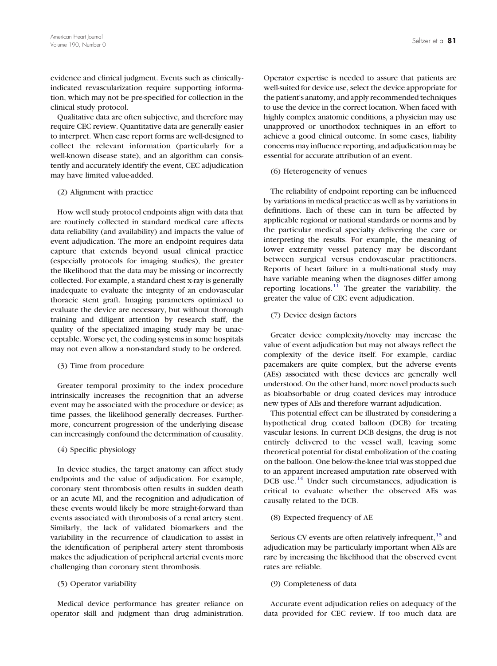evidence and clinical judgment. Events such as clinicallyindicated revascularization require supporting information, which may not be pre-specified for collection in the clinical study protocol.

Qualitative data are often subjective, and therefore may require CEC review. Quantitative data are generally easier to interpret. When case report forms are well-designed to collect the relevant information (particularly for a well-known disease state), and an algorithm can consistently and accurately identify the event, CEC adjudication may have limited value-added.

#### (2) Alignment with practice

How well study protocol endpoints align with data that are routinely collected in standard medical care affects data reliability (and availability) and impacts the value of event adjudication. The more an endpoint requires data capture that extends beyond usual clinical practice (especially protocols for imaging studies), the greater the likelihood that the data may be missing or incorrectly collected. For example, a standard chest x-ray is generally inadequate to evaluate the integrity of an endovascular thoracic stent graft. Imaging parameters optimized to evaluate the device are necessary, but without thorough training and diligent attention by research staff, the quality of the specialized imaging study may be unacceptable. Worse yet, the coding systems in some hospitals may not even allow a non-standard study to be ordered.

#### (3) Time from procedure

Greater temporal proximity to the index procedure intrinsically increases the recognition that an adverse event may be associated with the procedure or device; as time passes, the likelihood generally decreases. Furthermore, concurrent progression of the underlying disease can increasingly confound the determination of causality.

#### (4) Specific physiology

In device studies, the target anatomy can affect study endpoints and the value of adjudication. For example, coronary stent thrombosis often results in sudden death or an acute MI, and the recognition and adjudication of these events would likely be more straight-forward than events associated with thrombosis of a renal artery stent. Similarly, the lack of validated biomarkers and the variability in the recurrence of claudication to assist in the identification of peripheral artery stent thrombosis makes the adjudication of peripheral arterial events more challenging than coronary stent thrombosis.

#### (5) Operator variability

Medical device performance has greater reliance on operator skill and judgment than drug administration.

Operator expertise is needed to assure that patients are well-suited for device use, select the device appropriate for the patient's anatomy, and apply recommended techniques to use the device in the correct location. When faced with highly complex anatomic conditions, a physician may use unapproved or unorthodox techniques in an effort to achieve a good clinical outcome. In some cases, liability concerns may influence reporting, and adjudication may be essential for accurate attribution of an event.

#### (6) Heterogeneity of venues

The reliability of endpoint reporting can be influenced by variations in medical practice as well as by variations in definitions. Each of these can in turn be affected by applicable regional or national standards or norms and by the particular medical specialty delivering the care or interpreting the results. For example, the meaning of lower extremity vessel patency may be discordant between surgical versus endovascular practitioners. Reports of heart failure in a multi-national study may have variable meaning when the diagnoses differ among reporting locations[.](#page-8-0) $1\overline{1}$  The greater the variability, the greater the value of CEC event adjudication.

#### (7) Device design factors

Greater device complexity/novelty may increase the value of event adjudication but may not always reflect the complexity of the device itself. For example, cardiac pacemakers are quite complex, but the adverse events (AEs) associated with these devices are generally well understood. On the other hand, more novel products such as bioabsorbable or drug coated devices may introduce new types of AEs and therefore warrant adjudication.

This potential effect can be illustrated by considering a hypothetical drug coated balloon (DCB) for treating vascular lesions. In current DCB designs, the drug is not entirely delivered to the vessel wall, leaving some theoretical potential for distal embolization of the coating on the balloon. One below-the-knee trial was stopped due to an apparent increased amputation rate observed with DCB use[.](#page-8-0)<sup>[14](#page-8-0)</sup> Under such circumstances, adjudication is critical to evaluate whether the observed AEs was causally related to the DCB.

#### (8) Expected frequency of AE

Serious CV events are often relatively infrequent[,](#page-8-0)  $15$  and adjudication may be particularly important when AEs are rare by increasing the likelihood that the observed event rates are reliable.

#### (9) Completeness of data

Accurate event adjudication relies on adequacy of the data provided for CEC review. If too much data are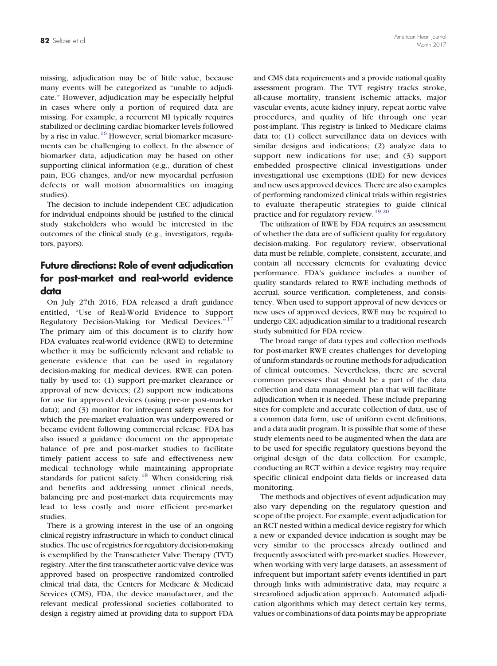missing, adjudication may be of little value, because many events will be categorized as "unable to adjudicate." However, adjudication may be especially helpful in cases where only a portion of required data are missing. For example, a recurrent MI typically requires stabilized or declining cardiac biomarker levels followed by a rise in value[.](#page-8-0)<sup>[16](#page-8-0)</sup> However, serial biomarker measurements can be challenging to collect. In the absence of biomarker data, adjudication may be based on other supporting clinical information (e.g., duration of chest pain, ECG changes, and/or new myocardial perfusion defects or wall motion abnormalities on imaging studies).

The decision to include independent CEC adjudication for individual endpoints should be justified to the clinical study stakeholders who would be interested in the outcomes of the clinical study (e.g., investigators, regulators, payors).

# Future directions: Role of event adjudication for post-market and real-world evidence data

On July 27th 2016, FDA released a draft guidance entitled, "Use of Real-World Evidence to Support Regulatory Decision-Making for Medical Devices.["](#page-8-0)<sup>[17](#page-8-0)</sup> The primary aim of this document is to clarify how FDA evaluates real-world evidence (RWE) to determine whether it may be sufficiently relevant and reliable to generate evidence that can be used in regulatory decision-making for medical devices. RWE can potentially by used to: (1) support pre-market clearance or approval of new devices; (2) support new indications for use for approved devices (using pre-or post-market data); and (3) monitor for infrequent safety events for which the pre-market evaluation was underpowered or became evident following commercial release. FDA has also issued a guidance document on the appropriate balance of pre and post-market studies to facilitate timely patient access to safe and effectiveness new medical technology while maintaining appropriate standards for patient safety[.](#page-8-0)<sup>[18](#page-8-0)</sup> When considering risk and benefits and addressing unmet clinical needs, balancing pre and post-market data requirements may lead to less costly and more efficient pre-market studies.

There is a growing interest in the use of an ongoing clinical registry infrastructure in which to conduct clinical studies. The use of registries for regulatory decision-making is exemplified by the Transcatheter Valve Therapy (TVT) registry. After the first transcatheter aortic valve device was approved based on prospective randomized controlled clinical trial data, the Centers for Medicare & Medicaid Services (CMS), FDA, the device manufacturer, and the relevant medical professional societies collaborated to design a registry aimed at providing data to support FDA

and CMS data requirements and a provide national quality assessment program. The TVT registry tracks stroke, all-cause mortality, transient ischemic attacks, major vascular events, acute kidney injury, repeat aortic valve procedures, and quality of life through one year post-implant. This registry is linked to Medicare claims data to: (1) collect surveillance data on devices with similar designs and indications; (2) analyze data to support new indications for use; and  $(3)$  support embedded prospective clinical investigations under investigational use exemptions (IDE) for new devices and new uses approved devices. There are also examples of performing randomized clinical trials within registries to evaluate therapeutic strategies to guide clinical practice and for regulatory review[.](#page-8-0)[19,20](#page-8-0)

The utilization of RWE by FDA requires an assessment of whether the data are of sufficient quality for regulatory decision-making. For regulatory review, observational data must be reliable, complete, consistent, accurate, and contain all necessary elements for evaluating device performance. FDA's guidance includes a number of quality standards related to RWE including methods of accrual, source verification, completeness, and consistency. When used to support approval of new devices or new uses of approved devices, RWE may be required to undergo CEC adjudication similar to a traditional research study submitted for FDA review.

The broad range of data types and collection methods for post-market RWE creates challenges for developing of uniform standards or routine methods for adjudication of clinical outcomes. Nevertheless, there are several common processes that should be a part of the data collection and data management plan that will facilitate adjudication when it is needed. These include preparing sites for complete and accurate collection of data, use of a common data form, use of uniform event definitions, and a data audit program. It is possible that some of these study elements need to be augmented when the data are to be used for specific regulatory questions beyond the original design of the data collection. For example, conducting an RCT within a device registry may require specific clinical endpoint data fields or increased data monitoring.

The methods and objectives of event adjudication may also vary depending on the regulatory question and scope of the project. For example, event adjudication for an RCT nested within a medical device registry for which a new or expanded device indication is sought may be very similar to the processes already outlined and frequently associated with pre-market studies. However, when working with very large datasets, an assessment of infrequent but important safety events identified in part through links with administrative data, may require a streamlined adjudication approach. Automated adjudication algorithms which may detect certain key terms, values or combinations of data points may be appropriate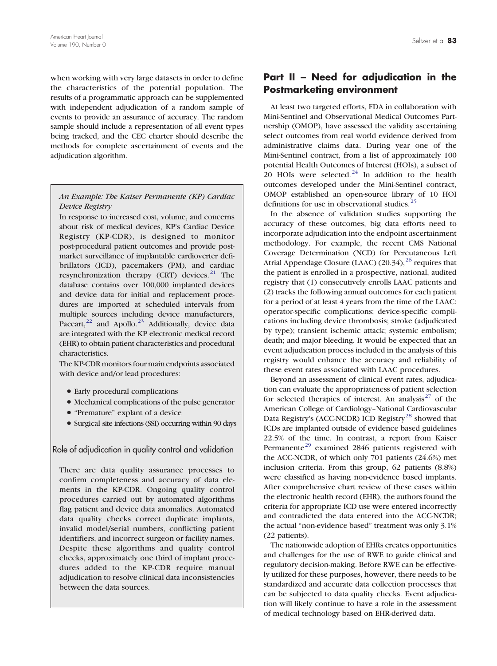when working with very large datasets in order to define the characteristics of the potential population. The results of a programmatic approach can be supplemented with independent adjudication of a random sample of events to provide an assurance of accuracy. The random sample should include a representation of all event types being tracked, and the CEC charter should describe the methods for complete ascertainment of events and the adjudication algorithm.

# An Example: The Kaiser Permanente (KP) Cardiac Device Registry

In response to increased cost, volume, and concerns about risk of medical devices, KP's Cardiac Device Registry (KP-CDR), is designed to monitor post-procedural patient outcomes and provide postmarket surveillance of implantable cardioverter defibrillators (ICD), pacemakers (PM), and cardiac resynchronization therapy (CRT) devices[.](#page-9-0) $^{21}$  $^{21}$  $^{21}$  The database contains over 100,000 implanted devices and device data for initial and replacement procedures are imported at scheduled intervals from multiple sources including device manufacturers, Paceart[,](#page-9-0)<sup>[22](#page-9-0)</sup> and Apollo[.](#page-9-0)<sup>[23](#page-9-0)</sup> Additionally, device data are integrated with the KP electronic medical record (EHR) to obtain patient characteristics and procedural characteristics.

The KP-CDR monitors four main endpoints associated with device and/or lead procedures:

- Early procedural complications
- Mechanical complications of the pulse generator
- "Premature" explant of a device
- Surgical site infections (SSI) occurring within 90 days

Role of adjudication in quality control and validation

There are data quality assurance processes to confirm completeness and accuracy of data elements in the KP-CDR. Ongoing quality control procedures carried out by automated algorithms flag patient and device data anomalies. Automated data quality checks correct duplicate implants, invalid model/serial numbers, conflicting patient identifiers, and incorrect surgeon or facility names. Despite these algorithms and quality control checks, approximately one third of implant procedures added to the KP-CDR require manual adjudication to resolve clinical data inconsistencies between the data sources.

# Part II – Need for adjudication in the Postmarketing environment

At least two targeted efforts, FDA in collaboration with Mini-Sentinel and Observational Medical Outcomes Partnership (OMOP), have assessed the validity ascertaining select outcomes from real world evidence derived from administrative claims data. During year one of the Mini-Sentinel contract, from a list of approximately 100 potential Health Outcomes of Interest (HOIs), a subset of 20 HOIs were selected[.](#page-9-0) $24$  In addition to the health outcomes developed under the Mini-Sentinel contract, OMOP established an open-source library of 10 HOI definitions for use in observational studies[.](#page-9-0)<sup>2</sup>

In the absence of validation studies supporting the accuracy of these outcomes, big data efforts need to incorporate adjudication into the endpoint ascertainment methodology. For example, the recent CMS National Coverage Determination (NCD) for Percutaneous Left Atrial Appendage Closure (LAAC)  $(20.34)$ [,](#page-9-0) <sup>[26](#page-9-0)</sup> requires that the patient is enrolled in a prospective, national, audited registry that (1) consecutively enrolls LAAC patients and (2) tracks the following annual outcomes for each patient for a period of at least 4 years from the time of the LAAC: operator-specific complications; device-specific complications including device thrombosis; stroke (adjudicated by type); transient ischemic attack; systemic embolism; death; and major bleeding. It would be expected that an event adjudication process included in the analysis of this registry would enhance the accuracy and reliability of these event rates associated with LAAC procedures.

Beyond an assessment of clinical event rates, adjudication can evaluate the appropriateness of patient selection for [s](#page-9-0)elected therapies of interest. An analysis $^{27}$  $^{27}$  $^{27}$  of the American College of Cardiology–National Cardiovascular Data Registr[y](#page-9-0)'s (ACC-NCDR) ICD Registry<sup>[28](#page-9-0)</sup> showed that ICDs are implanted outside of evidence based guidelines 22.5% of the time. In contrast, a report from Kaiser P[e](#page-9-0)rmanente<sup>[29](#page-9-0)</sup> examined 2846 patients registered with the ACC-NCDR, of which only 701 patients (24.6%) met inclusion criteria. From this group, 62 patients (8.8%) were classified as having non-evidence based implants. After comprehensive chart review of these cases within the electronic health record (EHR), the authors found the criteria for appropriate ICD use were entered incorrectly and contradicted the data entered into the ACC-NCDR; the actual "non-evidence based" treatment was only 3.1% (22 patients).

The nationwide adoption of EHRs creates opportunities and challenges for the use of RWE to guide clinical and regulatory decision-making. Before RWE can be effectively utilized for these purposes, however, there needs to be standardized and accurate data collection processes that can be subjected to data quality checks. Event adjudication will likely continue to have a role in the assessment of medical technology based on EHR-derived data.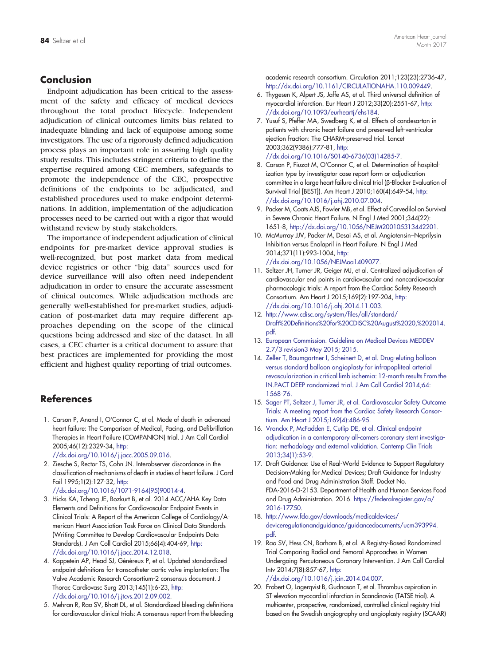# <span id="page-8-0"></span>Conclusion

Endpoint adjudication has been critical to the assessment of the safety and efficacy of medical devices throughout the total product lifecycle. Independent adjudication of clinical outcomes limits bias related to inadequate blinding and lack of equipoise among some investigators. The use of a rigorously defined adjudication process plays an important role in assuring high quality study results. This includes stringent criteria to define the expertise required among CEC members, safeguards to promote the independence of the CEC, prospective definitions of the endpoints to be adjudicated, and established procedures used to make endpoint determinations. In addition, implementation of the adjudication processes need to be carried out with a rigor that would withstand review by study stakeholders.

The importance of independent adjudication of clinical endpoints for pre-market device approval studies is well-recognized, but post market data from medical device registries or other "big data" sources used for device surveillance will also often need independent adjudication in order to ensure the accurate assessment of clinical outcomes. While adjudication methods are generally well-established for pre-market studies, adjudication of post-market data may require different approaches depending on the scope of the clinical questions being addressed and size of the dataset. In all cases, a CEC charter is a critical document to assure that best practices are implemented for providing the most efficient and highest quality reporting of trial outcomes.

# **References**

- 1. Carson P, Anand I, O'Connor C, et al. Mode of death in advanced heart failure: The Comparison of Medical, Pacing, and Defibrillation Therapies in Heart Failure (COMPANION) trial. J Am Coll Cardiol 2005;46(12):2329-34, http: //dx.doi.org/[10.1016/j.jacc.2005.09.016.](http://dx.doi.org/10.1016/j.jacc.2005.09.016)
- 2. Ziesche S, Rector TS, Cohn JN. Interobserver discordance in the classification of mechanisms of death in studies of heart failure. J Card Fail 1995;1(2):127-32, http:
	- //dx.doi.org/[10.1016/1071-9164\(95\)90014-4](http://dx.doi.org/10.1016/1071-9164(95)90014-4).
- 3. Hicks KA, Tcheng JE, Bozkurt B, et al. 2014 ACC/AHA Key Data Elements and Definitions for Cardiovascular Endpoint Events in Clinical Trials: A Report of the American College of Cardiology/American Heart Association Task Force on Clinical Data Standards (Writing Committee to Develop Cardiovascular Endpoints Data Standards). J Am Coll Cardiol 2015;66(4):404-69, http: //dx.doi.org/[10.1016/j.jacc.2014.12.018.](http://dx.doi.org/10.1016/j.jacc.2014.12.018)
- 4. Kappetein AP, Head SJ, Généreux P, et al. Updated standardized endpoint definitions for transcatheter aortic valve implantation: The Valve Academic Research Consortium-2 consensus document. J Thorac Cardiovasc Surg 2013;145(1):6-23, http: //dx.doi.org/[10.1016/j.jtcvs.2012.09.002](http://dx.doi.org/10.1016/j.jtcvs.2012.09.002).
- 5. Mehran R, Rao SV, Bhatt DL, et al. Standardized bleeding definitions for cardiovascular clinical trials: A consensus report from the bleeding

academic research consortium. Circulation 2011;123(23):2736-47, http://dx.doi.org[/10.1161/CIRCULATIONAHA.110.009449](http://dx.doi.org/10.1161/CIRCULATIONAHA.110.009449).

- 6. Thygesen K, Alpert JS, Jaffe AS, et al. Third universal definition of myocardial infarction. Eur Heart J 2012;33(20):2551-67, http: //dx.doi.org/[10.1093/eurheartj/ehs184](http://dx.doi.org/10.1093/eurheartj/ehs184).
- 7. Yusuf S, Pfeffer MA, Swedberg K, et al. Effects of candesartan in patients with chronic heart failure and preserved left-ventricular ejection fraction: The CHARM-preserved trial. Lancet 2003;362(9386):777-81, http: //dx.doi.org/[10.1016/S0140-6736\(03\)14285-7](http://dx.doi.org/10.1016/S0140-6736(03)14285-7).
- 8. Carson P, Fiuzat M, O'Connor C, et al. Determination of hospitalization type by investigator case report form or adjudication committee in a large heart failure clinical trial (β-Blocker Evaluation of Survival Trial [BEST]). Am Heart J 2010;160(4):649-54, http: //dx.doi.org/[10.1016/j.ahj.2010.07.004](http://dx.doi.org/10.1016/j.ahj.2010.07.004).
- 9. Packer M, Coats AJS, Fowler MB, et al. Effect of Carvedilol on Survival in Severe Chronic Heart Failure. N Engl J Med 2001;344(22): 1651-8, http://dx.doi.org[/10.1056/NEJM200105313442201](http://dx.doi.org/10.1056/NEJM200105313442201).
- 10. McMurray JJV, Packer M, Desai AS, et al. Angiotensin–Neprilysin Inhibition versus Enalapril in Heart Failure. N Engl J Med 2014;371(11):993-1004, http: //dx.doi.org/[10.1056/NEJMoa1409077.](http://dx.doi.org/10.1056/NEJMoa1409077)
- 11. Seltzer JH, Turner JR, Geiger MJ, et al. Centralized adjudication of cardiovascular end points in cardiovascular and noncardiovascular pharmacologic trials: A report from the Cardiac Safety Research Consortium. Am Heart J 2015;169(2):197-204, http: //dx.doi.org/[10.1016/j.ahj.2014.11.003](http://dx.doi.org/10.1016/j.ahj.2014.11.003).
- 12. [http://www.cdisc.org/system/files/all/standard/](http://www.cdisc.org/system/files/all/standard/Draft%20Definitions%20for%20CDISC%20August%2020,%202014.pdf) [Draft%20Definitions%20for%20CDISC%20August%2020,%202014.](http://www.cdisc.org/system/files/all/standard/Draft%20Definitions%20for%20CDISC%20August%2020,%202014.pdf) [pdf](http://www.cdisc.org/system/files/all/standard/Draft%20Definitions%20for%20CDISC%20August%2020,%202014.pdf).
- 13. [European Commission. Guideline on Medical Devices MEDDEV](http://refhub.elsevier.com/S0002-8703(17)30150-3/rf1000) [2.7/3 revision3 May 2015; 2015.](http://refhub.elsevier.com/S0002-8703(17)30150-3/rf1000)
- 14. [Zeller T, Baumgartner I, Scheinert D, et al. Drug-eluting balloon](http://refhub.elsevier.com/S0002-8703(17)30150-3/rf0060) [versus standard balloon angioplasty for infrapopliteal arterial](http://refhub.elsevier.com/S0002-8703(17)30150-3/rf0060) [revascularization in critical limb ischemia: 12-month results From the](http://refhub.elsevier.com/S0002-8703(17)30150-3/rf0060) [IN.PACT DEEP randomized trial. J Am Coll Cardiol 2014;64:](http://refhub.elsevier.com/S0002-8703(17)30150-3/rf0060) [1568-76.](http://refhub.elsevier.com/S0002-8703(17)30150-3/rf0060)
- 15. [Sager PT, Seltzer J, Turner JR, et al. Cardiovascular Safety Outcome](http://refhub.elsevier.com/S0002-8703(17)30150-3/rf0065) [Trials: A meeting report from the Cardiac Safety Research Consor](http://refhub.elsevier.com/S0002-8703(17)30150-3/rf0065)[tium. Am Heart J 2015;169\(4\):486-95.](http://refhub.elsevier.com/S0002-8703(17)30150-3/rf0065)
- 16. [Vranckx P, McFadden E, Cutlip DE, et al. Clinical endpoint](http://refhub.elsevier.com/S0002-8703(17)30150-3/rf0070) [adjudication in a contemporary all-comers coronary stent investiga](http://refhub.elsevier.com/S0002-8703(17)30150-3/rf0070)[tion: methodology and external validation. Contemp Clin Trials](http://refhub.elsevier.com/S0002-8703(17)30150-3/rf0070) [2013;34\(1\):53-9.](http://refhub.elsevier.com/S0002-8703(17)30150-3/rf0070)
- 17. Draft Guidance: Use of Real-World Evidence to Support Regulatory Decision-Making for Medical Devices; Draft Guidance for Industry and Food and Drug Administration Staff. Docket No. FDA-2016-D-2153. Department of Health and Human Services Food and Drug Administration. 2016. [https://federalregister.gov/a/](https://federalregister.gov/a/2016-17750) [2016-17750](https://federalregister.gov/a/2016-17750).
- 18. [http://www.fda.gov/downloads/medicaldevices/](http://www.fda.gov/downloads/medicaldevices/deviceregulationandguidance/guidancedocuments/ucm393994.pdf) [deviceregulationandguidance/guidancedocuments/ucm393994.](http://www.fda.gov/downloads/medicaldevices/deviceregulationandguidance/guidancedocuments/ucm393994.pdf) [pdf](http://www.fda.gov/downloads/medicaldevices/deviceregulationandguidance/guidancedocuments/ucm393994.pdf).
- 19. Rao SV, Hess CN, Barham B, et al. A Registry-Based Randomized Trial Comparing Radial and Femoral Approaches in Women Undergoing Percutaneous Coronary Intervention. J Am Coll Cardiol Intv 2014;7(8):857-67, http: //dx.doi.org/[10.1016/j.jcin.2014.04.007.](http://dx.doi.org/10.1016/j.jcin.2014.04.007)
- 20. Frobert O, Lagerqvist B, Gudnason T, et al. Thrombus aspiration in ST-elevation myocardial infarction in Scandinavia (TATSE trial). A multicenter, prospective, randomized, controlled clinical registry trial based on the Swedish angiography and angioplasty registry (SCAAR)